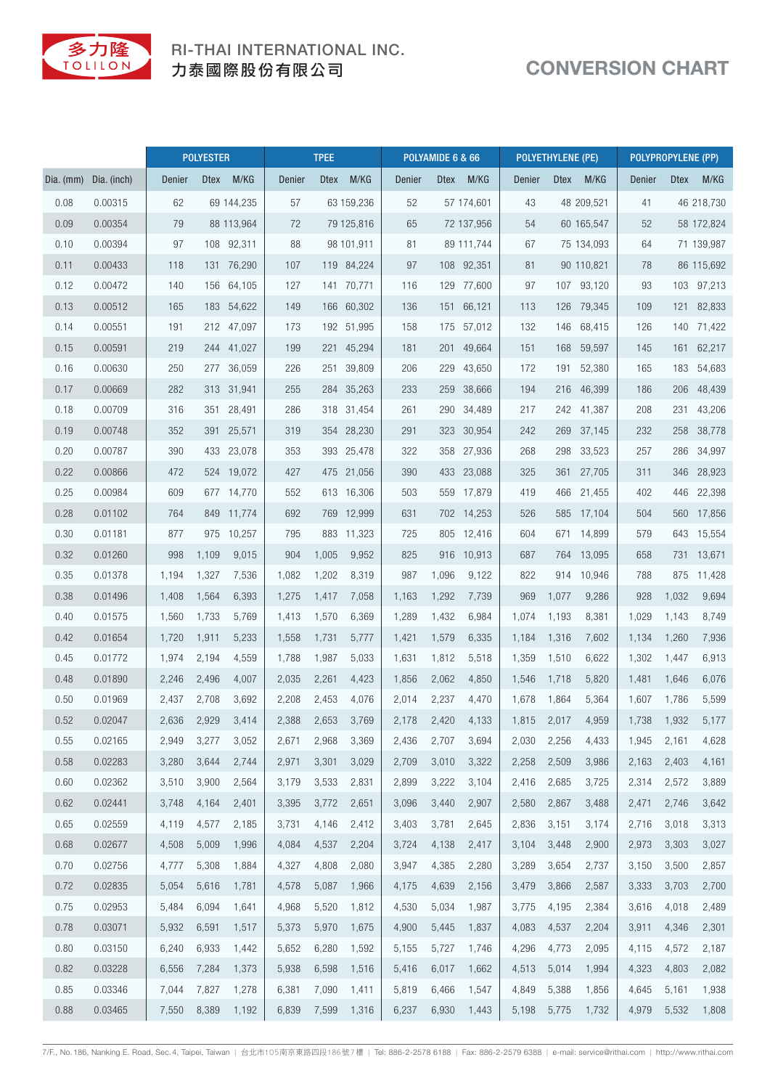

## RI-THAI INTERNATIONAL INC. 力泰國際股份有限公司

## CONVERSION CHART

|             |             | <b>POLYESTER</b> |             |            | <b>TPEE</b> |             |            | POLYAMIDE 6 & 66 |       |            | <b>POLYETHYLENE (PE)</b> |             |            | POLYPROPYLENE (PP) |             |            |
|-------------|-------------|------------------|-------------|------------|-------------|-------------|------------|------------------|-------|------------|--------------------------|-------------|------------|--------------------|-------------|------------|
| Dia. $(mm)$ | Dia. (inch) | Denier           | <b>Dtex</b> | M/KG       | Denier      | <b>Dtex</b> | M/KG       | <b>Denier</b>    |       | Dtex M/KG  | Denier                   | <b>Dtex</b> | M/KG       | Denier             | <b>Dtex</b> | M/KG       |
| 0.08        | 0.00315     | 62               |             | 69 144,235 | 57          |             | 63 159,236 | 52               |       | 57 174,601 | 43                       |             | 48 209,521 | 41                 |             | 46 218,730 |
| 0.09        | 0.00354     | 79               |             | 88 113,964 | 72          |             | 79 125,816 | 65               |       | 72 137,956 | 54                       |             | 60 165,547 | 52                 |             | 58 172,824 |
| 0.10        | 0.00394     | 97               |             | 108 92,311 | 88          |             | 98 101,911 | 81               |       | 89 111,744 | 67                       |             | 75 134,093 | 64                 |             | 71 139,987 |
| 0.11        | 0.00433     | 118              |             | 131 76,290 | 107         |             | 119 84,224 | 97               |       | 108 92,351 | 81                       |             | 90 110,821 | 78                 |             | 86 115,692 |
| 0.12        | 0.00472     | 140              |             | 156 64,105 | 127         |             | 141 70,771 | 116              |       | 129 77,600 | 97                       |             | 107 93,120 | 93                 |             | 103 97,213 |
| 0.13        | 0.00512     | 165              |             | 183 54,622 | 149         |             | 166 60,302 | 136              | 151   | 66,121     | 113                      | 126         | 79,345     | 109                |             | 121 82,833 |
| 0.14        | 0.00551     | 191              |             | 212 47,097 | 173         |             | 192 51,995 | 158              |       | 175 57,012 | 132                      |             | 146 68,415 | 126                |             | 140 71,422 |
| 0.15        | 0.00591     | 219              |             | 244 41,027 | 199         |             | 221 45,294 | 181              |       | 201 49,664 | 151                      | 168         | 59,597     | 145                |             | 161 62,217 |
| 0.16        | 0.00630     | 250              |             | 277 36,059 | 226         |             | 251 39,809 | 206              | 229   | 43,650     | 172                      | 191         | 52,380     | 165                | 183         | 54,683     |
| 0.17        | 0.00669     | 282              |             | 313 31,941 | 255         |             | 284 35,263 | 233              |       | 259 38,666 | 194                      |             | 216 46,399 | 186                |             | 206 48,439 |
| 0.18        | 0.00709     | 316              |             | 351 28,491 | 286         |             | 318 31,454 | 261              |       | 290 34,489 | 217                      |             | 242 41,387 | 208                |             | 231 43,206 |
| 0.19        | 0.00748     | 352              |             | 391 25,571 | 319         |             | 354 28,230 | 291              |       | 323 30,954 | 242                      | 269         | 37,145     | 232                |             | 258 38,778 |
| 0.20        | 0.00787     | 390              |             | 433 23,078 | 353         |             | 393 25,478 | 322              |       | 358 27,936 | 268                      | 298         | 33,523     | 257                |             | 286 34,997 |
| 0.22        | 0.00866     | 472              |             | 524 19,072 | 427         |             | 475 21,056 | 390              |       | 433 23,088 | 325                      | 361         | 27,705     | 311                |             | 346 28,923 |
| 0.25        | 0.00984     | 609              |             | 677 14,770 | 552         |             | 613 16,306 | 503              |       | 559 17,879 | 419                      | 466         | 21,455     | 402                |             | 446 22,398 |
| 0.28        | 0.01102     | 764              |             | 849 11,774 | 692         |             | 769 12,999 | 631              |       | 702 14,253 | 526                      |             | 585 17,104 | 504                |             | 560 17,856 |
| 0.30        | 0.01181     | 877              |             | 975 10,257 | 795         |             | 883 11,323 | 725              |       | 805 12,416 | 604                      | 671         | 14,899     | 579                |             | 643 15,554 |
| 0.32        | 0.01260     | 998              | 1,109       | 9,015      | 904         | 1,005       | 9,952      | 825              |       | 916 10,913 | 687                      | 764         | 13,095     | 658                | 731         | 13,671     |
| 0.35        | 0.01378     | 1,194            | 1,327       | 7,536      | 1,082       | 1,202       | 8,319      | 987              | 1,096 | 9,122      | 822                      |             | 914 10,946 | 788                |             | 875 11,428 |
| 0.38        | 0.01496     | 1,408            | 1,564       | 6,393      | 1,275       | 1,417       | 7,058      | 1,163            | 1,292 | 7,739      | 969                      | 1,077       | 9,286      | 928                | 1,032       | 9,694      |
| 0.40        | 0.01575     | 1,560            | 1,733       | 5,769      | 1,413       | 1,570       | 6,369      | 1,289            | 1,432 | 6,984      | 1,074                    | 1,193       | 8,381      | 1,029              | 1,143       | 8,749      |
| 0.42        | 0.01654     | 1,720            | 1,911       | 5,233      | 1,558       | 1,731       | 5,777      | 1,421            | 1,579 | 6,335      | 1,184                    | 1,316       | 7,602      | 1,134              | 1,260       | 7,936      |
| 0.45        | 0.01772     | 1,974            | 2,194       | 4,559      | 1,788       | 1,987       | 5,033      | 1,631            | 1,812 | 5,518      | 1,359                    | 1,510       | 6,622      | 1,302              | 1,447       | 6,913      |
| 0.48        | 0.01890     | 2,246            | 2,496       | 4,007      | 2,035       | 2,261       | 4,423      | 1,856            | 2,062 | 4,850      | 1,546                    | 1,718       | 5,820      | 1,481              | 1,646       | 6,076      |
| 0.50        | 0.01969     | 2,437            | 2,708       | 3,692      | 2,208       | 2,453       | 4,076      | 2,014            | 2,237 | 4,470      | 1,678                    | 1,864       | 5,364      | 1,607              | 1,786       | 5,599      |
| 0.52        | 0.02047     | 2,636            | 2,929       | 3,414      | 2,388       | 2,653       | 3,769      | 2,178            | 2,420 | 4,133      | 1,815                    | 2,017       | 4,959      | 1,738              | 1,932       | 5,177      |
| 0.55        | 0.02165     | 2,949            | 3,277       | 3,052      | 2,671       | 2,968       | 3,369      | 2,436            | 2,707 | 3,694      | 2,030                    | 2,256       | 4,433      | 1,945              | 2,161       | 4,628      |
| 0.58        | 0.02283     | 3,280            | 3,644       | 2,744      | 2,971       | 3,301       | 3,029      | 2,709            | 3,010 | 3,322      | 2,258                    | 2,509       | 3,986      | 2,163              | 2,403       | 4,161      |
| 0.60        | 0.02362     | 3,510            | 3,900       | 2,564      | 3,179       | 3,533       | 2,831      | 2,899            | 3,222 | 3,104      | 2,416                    | 2,685       | 3,725      | 2,314              | 2,572       | 3,889      |
| 0.62        | 0.02441     | 3,748            | 4,164       | 2,401      | 3,395       | 3,772       | 2,651      | 3,096            | 3,440 | 2,907      | 2,580                    | 2,867       | 3,488      | 2,471              | 2,746       | 3,642      |
| 0.65        | 0.02559     | 4,119            | 4,577       | 2,185      | 3,731       | 4,146       | 2,412      | 3,403            | 3,781 | 2,645      | 2,836                    | 3,151       | 3,174      | 2,716              | 3,018       | 3,313      |
| 0.68        | 0.02677     | 4,508            | 5,009       | 1,996      | 4,084       | 4,537       | 2,204      | 3,724            | 4,138 | 2,417      | 3,104                    | 3,448       | 2,900      | 2,973              | 3,303       | 3,027      |
| 0.70        | 0.02756     | 4,777            | 5,308       | 1,884      | 4,327       | 4,808       | 2,080      | 3,947            | 4,385 | 2,280      | 3,289                    | 3,654       | 2,737      | 3,150              | 3,500       | 2,857      |
| 0.72        | 0.02835     | 5,054            | 5,616       | 1,781      | 4,578       | 5,087       | 1,966      | 4,175            | 4,639 | 2,156      | 3,479                    | 3,866       | 2,587      | 3,333              | 3,703       | 2,700      |
| 0.75        | 0.02953     | 5,484            | 6,094       | 1,641      | 4,968       | 5,520       | 1,812      | 4,530            | 5,034 | 1,987      | 3,775                    | 4,195       | 2,384      | 3,616              | 4,018       | 2,489      |
| 0.78        | 0.03071     | 5,932            | 6,591       | 1,517      | 5,373       | 5,970       | 1,675      | 4,900            | 5,445 | 1,837      | 4,083                    | 4,537       | 2,204      | 3,911              | 4,346       | 2,301      |
| 0.80        | 0.03150     | 6,240            | 6,933       | 1,442      | 5,652       | 6,280       | 1,592      | 5,155            | 5,727 | 1,746      | 4,296                    | 4,773       | 2,095      | 4,115              | 4,572       | 2,187      |
| 0.82        | 0.03228     | 6,556            | 7,284       | 1,373      | 5,938       | 6,598       | 1,516      | 5,416            | 6,017 | 1,662      | 4,513                    | 5,014       | 1,994      | 4,323              | 4,803       | 2,082      |
| 0.85        | 0.03346     | 7,044            | 7,827       | 1,278      | 6,381       | 7,090       | 1,411      | 5,819            | 6,466 | 1,547      | 4,849                    | 5,388       | 1,856      | 4,645              | 5,161       | 1,938      |
| 0.88        | 0.03465     | 7,550            | 8,389       | 1,192      | 6,839       | 7,599       | 1,316      | 6,237            | 6,930 | 1,443      | 5,198                    | 5,775       | 1,732      | 4,979              | 5,532       | 1,808      |